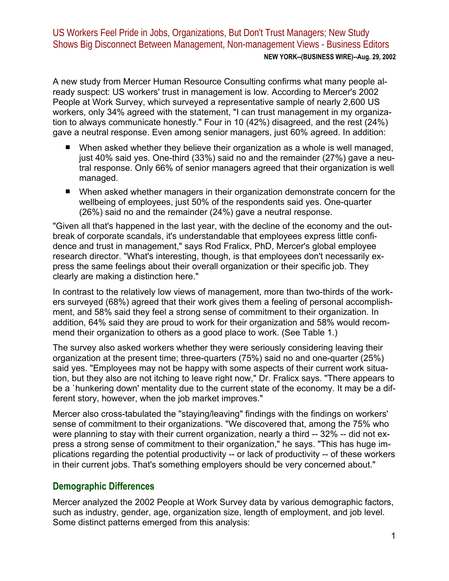US Workers Feel Pride in Jobs, Organizations, But Don't Trust Managers; New Study Shows Big Disconnect Between Management, Non-management Views - Business Editors **NEW YORK--(BUSINESS WIRE)--Aug. 29, 2002**

A new study from Mercer Human Resource Consulting confirms what many people already suspect: US workers' trust in management is low. According to Mercer's 2002 People at Work Survey, which surveyed a representative sample of nearly 2,600 US workers, only 34% agreed with the statement, "I can trust management in my organization to always communicate honestly." Four in 10 (42%) disagreed, and the rest (24%) gave a neutral response. Even among senior managers, just 60% agreed. In addition:

- When asked whether they believe their organization as a whole is well managed, just 40% said yes. One-third (33%) said no and the remainder (27%) gave a neutral response. Only 66% of senior managers agreed that their organization is well managed.
- When asked whether managers in their organization demonstrate concern for the wellbeing of employees, just 50% of the respondents said yes. One-quarter (26%) said no and the remainder (24%) gave a neutral response.

"Given all that's happened in the last year, with the decline of the economy and the outbreak of corporate scandals, it's understandable that employees express little confidence and trust in management," says Rod Fralicx, PhD, Mercer's global employee research director. "What's interesting, though, is that employees don't necessarily express the same feelings about their overall organization or their specific job. They clearly are making a distinction here."

In contrast to the relatively low views of management, more than two-thirds of the workers surveyed (68%) agreed that their work gives them a feeling of personal accomplishment, and 58% said they feel a strong sense of commitment to their organization. In addition, 64% said they are proud to work for their organization and 58% would recommend their organization to others as a good place to work. (See Table 1.)

The survey also asked workers whether they were seriously considering leaving their organization at the present time; three-quarters (75%) said no and one-quarter (25%) said yes. "Employees may not be happy with some aspects of their current work situation, but they also are not itching to leave right now," Dr. Fralicx says. "There appears to be a `hunkering down' mentality due to the current state of the economy. It may be a different story, however, when the job market improves."

Mercer also cross-tabulated the "staying/leaving" findings with the findings on workers' sense of commitment to their organizations. "We discovered that, among the 75% who were planning to stay with their current organization, nearly a third -- 32% -- did not express a strong sense of commitment to their organization," he says. "This has huge implications regarding the potential productivity -- or lack of productivity -- of these workers in their current jobs. That's something employers should be very concerned about."

## **Demographic Differences**

Mercer analyzed the 2002 People at Work Survey data by various demographic factors, such as industry, gender, age, organization size, length of employment, and job level. Some distinct patterns emerged from this analysis: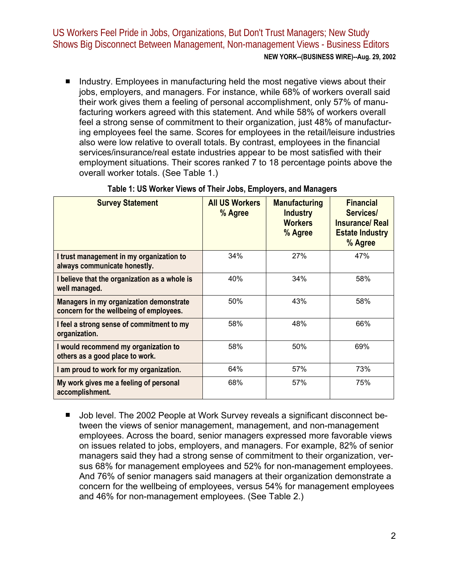US Workers Feel Pride in Jobs, Organizations, But Don't Trust Managers; New Study Shows Big Disconnect Between Management, Non-management Views - Business Editors **NEW YORK--(BUSINESS WIRE)--Aug. 29, 2002**

Industry. Employees in manufacturing held the most negative views about their jobs, employers, and managers. For instance, while 68% of workers overall said their work gives them a feeling of personal accomplishment, only 57% of manufacturing workers agreed with this statement. And while 58% of workers overall feel a strong sense of commitment to their organization, just 48% of manufacturing employees feel the same. Scores for employees in the retail/leisure industries also were low relative to overall totals. By contrast, employees in the financial services/insurance/real estate industries appear to be most satisfied with their employment situations. Their scores ranked 7 to 18 percentage points above the overall worker totals. (See Table 1.)

| <b>Survey Statement</b>                                                            | <b>All US Workers</b><br>% Agree | <b>Manufacturing</b><br><b>Industry</b><br><b>Workers</b><br>% Agree | <b>Financial</b><br>Services/<br><b>Insurance/ Real</b><br><b>Estate Industry</b><br>% Agree |
|------------------------------------------------------------------------------------|----------------------------------|----------------------------------------------------------------------|----------------------------------------------------------------------------------------------|
| I trust management in my organization to<br>always communicate honestly.           | 34%                              | 27%                                                                  | 47%                                                                                          |
| I believe that the organization as a whole is<br>well managed.                     | 40%                              | 34%                                                                  | 58%                                                                                          |
| Managers in my organization demonstrate<br>concern for the wellbeing of employees. | 50%                              | 43%                                                                  | 58%                                                                                          |
| I feel a strong sense of commitment to my<br>organization.                         | 58%                              | 48%                                                                  | 66%                                                                                          |
| I would recommend my organization to<br>others as a good place to work.            | 58%                              | 50%                                                                  | 69%                                                                                          |
| I am proud to work for my organization.                                            | 64%                              | 57%                                                                  | 73%                                                                                          |
| My work gives me a feeling of personal<br>accomplishment.                          | 68%                              | 57%                                                                  | 75%                                                                                          |

## **Table 1: US Worker Views of Their Jobs, Employers, and Managers**

Job level. The 2002 People at Work Survey reveals a significant disconnect between the views of senior management, management, and non-management employees. Across the board, senior managers expressed more favorable views on issues related to jobs, employers, and managers. For example, 82% of senior managers said they had a strong sense of commitment to their organization, versus 68% for management employees and 52% for non-management employees. And 76% of senior managers said managers at their organization demonstrate a concern for the wellbeing of employees, versus 54% for management employees and 46% for non-management employees. (See Table 2.)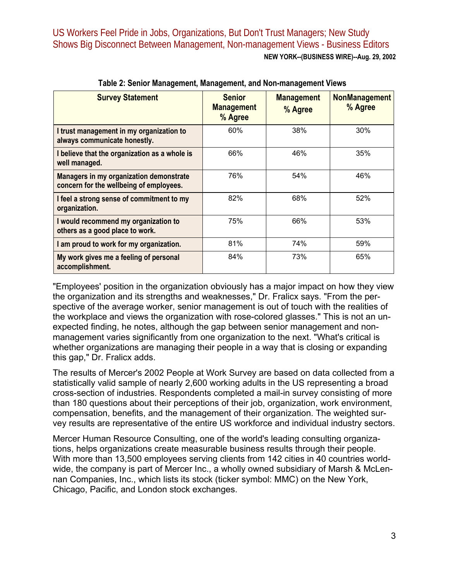| <b>Survey Statement</b>                                                            | <b>Senior</b><br><b>Management</b><br>% Agree | <b>Management</b><br>% Agree | <b>NonManagement</b><br>% Agree |
|------------------------------------------------------------------------------------|-----------------------------------------------|------------------------------|---------------------------------|
| I trust management in my organization to<br>always communicate honestly.           | 60%                                           | 38%                          | 30%                             |
| I believe that the organization as a whole is<br>well managed.                     | 66%                                           | 46%                          | 35%                             |
| Managers in my organization demonstrate<br>concern for the wellbeing of employees. | 76%                                           | 54%                          | 46%                             |
| I feel a strong sense of commitment to my<br>organization.                         | 82%                                           | 68%                          | 52%                             |
| I would recommend my organization to<br>others as a good place to work.            | 75%                                           | 66%                          | 53%                             |
| I am proud to work for my organization.                                            | 81%                                           | 74%                          | 59%                             |
| My work gives me a feeling of personal<br>accomplishment.                          | 84%                                           | 73%                          | 65%                             |

**Table 2: Senior Management, Management, and Non-management Views** 

"Employees' position in the organization obviously has a major impact on how they view the organization and its strengths and weaknesses," Dr. Fralicx says. "From the perspective of the average worker, senior management is out of touch with the realities of the workplace and views the organization with rose-colored glasses." This is not an unexpected finding, he notes, although the gap between senior management and nonmanagement varies significantly from one organization to the next. "What's critical is whether organizations are managing their people in a way that is closing or expanding this gap," Dr. Fralicx adds.

The results of Mercer's 2002 People at Work Survey are based on data collected from a statistically valid sample of nearly 2,600 working adults in the US representing a broad cross-section of industries. Respondents completed a mail-in survey consisting of more than 180 questions about their perceptions of their job, organization, work environment, compensation, benefits, and the management of their organization. The weighted survey results are representative of the entire US workforce and individual industry sectors.

Mercer Human Resource Consulting, one of the world's leading consulting organizations, helps organizations create measurable business results through their people. With more than 13,500 employees serving clients from 142 cities in 40 countries worldwide, the company is part of Mercer Inc., a wholly owned subsidiary of Marsh & McLennan Companies, Inc., which lists its stock (ticker symbol: MMC) on the New York, Chicago, Pacific, and London stock exchanges.